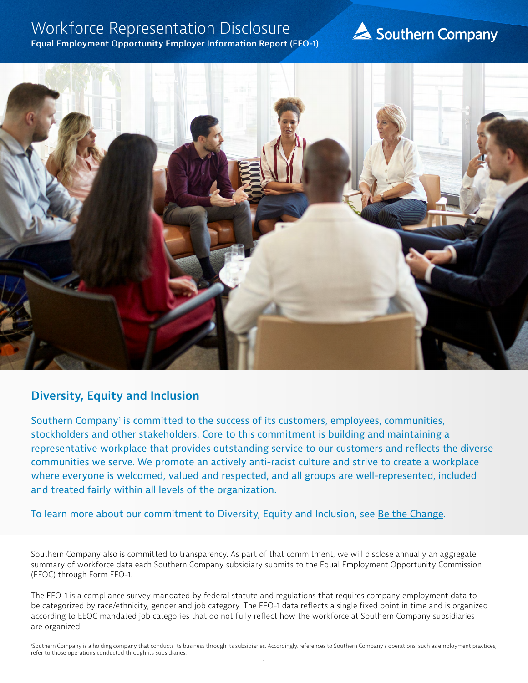## Workforce Representation Disclosure

#### **Equal Employment Opportunity Employer Information Report (EEO-1)**

# Southern Company



### **Diversity, Equity and Inclusion**

Southern Company<sup>1</sup> is committed to the success of its customers, employees, communities, stockholders and other stakeholders. Core to this commitment is building and maintaining a representative workplace that provides outstanding service to our customers and reflects the diverse communities we serve. We promote an actively anti-racist culture and strive to create a workplace where everyone is welcomed, valued and respected, and all groups are well-represented, included and treated fairly within all levels of the organization.

To learn more about our commitment to Diversity, Equity and Inclusion, see [Be the Change.](http://southerncompany.info/bethechange/?_ga=2.83509142.1613534638.1625671781-284434425.1625671781)

Southern Company also is committed to transparency. As part of that commitment, we will disclose annually an aggregate summary of workforce data each Southern Company subsidiary submits to the Equal Employment Opportunity Commission (EEOC) through Form EEO-1.

The EEO-1 is a compliance survey mandated by federal statute and regulations that requires company employment data to be categorized by race/ethnicity, gender and job category. The EEO-1 data reflects a single fixed point in time and is organized according to EEOC mandated job categories that do not fully reflect how the workforce at Southern Company subsidiaries are organized.

'Southern Company is a holding company that conducts its business through its subsidiaries. Accordingly, references to Southern Company's operations, such as employment practices, refer to those operations conducted through its subsidiaries.